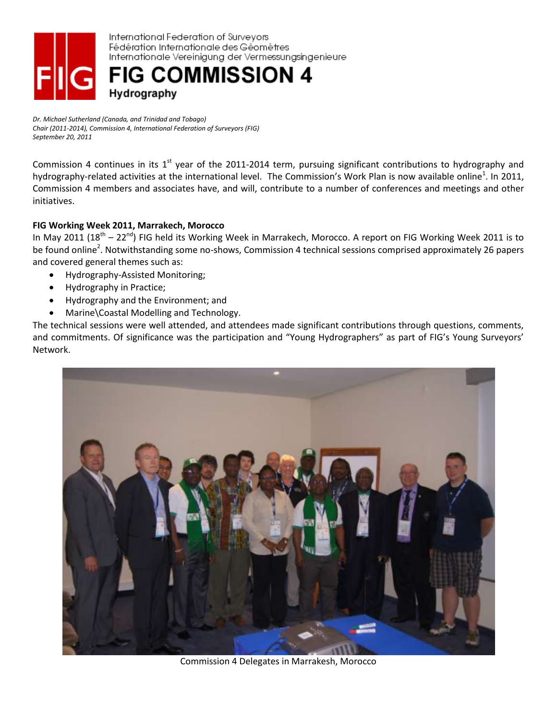

*Dr. Michael Sutherland (Canada, and Trinidad and Tobago) Chair (2011-2014), Commission 4, International Federation of Surveyors (FIG) September 20, 2011*

Commission 4 continues in its  $1<sup>st</sup>$  year of the 2011-2014 term, pursuing significant contributions to hydrography and hydrography-related activities at the international level. The Commission's Work Plan is now available online<sup>1</sup>. In 2011, Commission 4 members and associates have, and will, contribute to a number of conferences and meetings and other initiatives.

## **FIG Working Week 2011, Marrakech, Morocco**

In May 2011 (18<sup>th</sup> – 22<sup>nd</sup>) FIG held its Working Week in Marrakech, Morocco. A report on FIG Working Week 2011 is to be found online<sup>2</sup>. Notwithstanding some no-shows, Commission 4 technical sessions comprised approximately 26 papers and covered general themes such as:

- Hydrography-Assisted Monitoring;
- Hydrography in Practice;
- Hydrography and the Environment; and
- Marine\Coastal Modelling and Technology.

The technical sessions were well attended, and attendees made significant contributions through questions, comments, and commitments. Of significance was the participation and "Young Hydrographers" as part of FIG's Young Surveyors' Network.



Commission 4 Delegates in Marrakesh, Morocco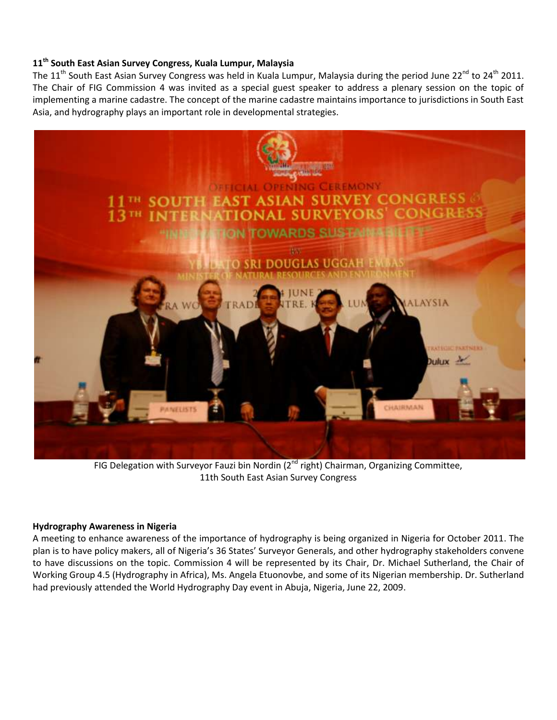# **11th South East Asian Survey Congress, Kuala Lumpur, Malaysia**

The 11<sup>th</sup> South East Asian Survey Congress was held in Kuala Lumpur, Malaysia during the period June 22<sup>nd</sup> to 24<sup>th</sup> 2011. The Chair of FIG Commission 4 was invited as a special guest speaker to address a plenary session on the topic of implementing a marine cadastre. The concept of the marine cadastre maintains importance to jurisdictions in South East Asia, and hydrography plays an important role in developmental strategies.



FIG Delegation with Surveyor Fauzi bin Nordin (2<sup>nd</sup> right) Chairman, Organizing Committee, 11th South East Asian Survey Congress

#### **Hydrography Awareness in Nigeria**

A meeting to enhance awareness of the importance of hydrography is being organized in Nigeria for October 2011. The plan is to have policy makers, all of Nigeria's 36 States' Surveyor Generals, and other hydrography stakeholders convene to have discussions on the topic. Commission 4 will be represented by its Chair, Dr. Michael Sutherland, the Chair of Working Group 4.5 (Hydrography in Africa), Ms. Angela Etuonovbe, and some of its Nigerian membership. Dr. Sutherland had previously attended the World Hydrography Day event in Abuja, Nigeria, June 22, 2009.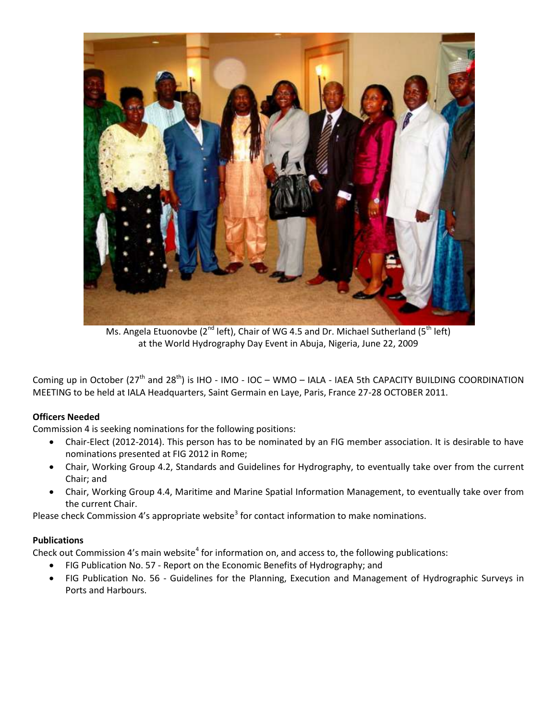

Ms. Angela Etuonovbe ( $2^{nd}$  left), Chair of WG 4.5 and Dr. Michael Sutherland ( $5^{th}$  left) at the World Hydrography Day Event in Abuja, Nigeria, June 22, 2009

Coming up in October ( $27<sup>th</sup>$  and  $28<sup>th</sup>$ ) is IHO - IMO - IOC – WMO – IALA - IAEA 5th CAPACITY BUILDING COORDINATION MEETING to be held at IALA Headquarters, Saint Germain en Laye, Paris, France 27-28 OCTOBER 2011.

## **Officers Needed**

Commission 4 is seeking nominations for the following positions:

- Chair-Elect (2012-2014). This person has to be nominated by an FIG member association. It is desirable to have nominations presented at FIG 2012 in Rome;
- Chair, Working Group 4.2, Standards and Guidelines for Hydrography, to eventually take over from the current Chair; and
- Chair, Working Group 4.4, Maritime and Marine Spatial Information Management, to eventually take over from the current Chair.

Please check Commission 4's appropriate website<sup>3</sup> for contact information to make nominations.

## **Publications**

Check out Commission 4's main website<sup>4</sup> for information on, and access to, the following publications:

- FIG Publication No. 57 Report on the Economic Benefits of Hydrography; and
- FIG Publication No. 56 Guidelines for the Planning, Execution and Management of Hydrographic Surveys in Ports and Harbours.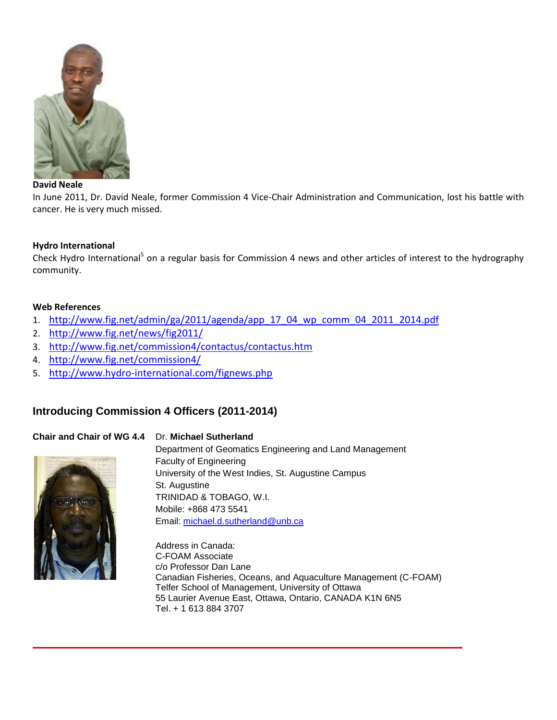

### **David Neale**

In June 2011, Dr. David Neale, former Commission 4 Vice-Chair Administration and Communication, lost his battle with cancer. He is very much missed.

## **Hydro International**

Check Hydro International<sup>5</sup> on a regular basis for Commission 4 news and other articles of interest to the hydrography community.

### **Web References**

- 1. [http://www.fig.net/admin/ga/2011/agenda/app\\_17\\_04\\_wp\\_comm\\_04\\_2011\\_2014.pdf](http://www.fig.net/admin/ga/2011/agenda/app_17_04_wp_comm_04_2011_2014.pdf)
- 2. <http://www.fig.net/news/fig2011/>
- 3. <http://www.fig.net/commission4/contactus/contactus.htm>
- 4. <http://www.fig.net/commission4/>
- 5. <http://www.hydro-international.com/fignews.php>

## **Introducing Commission 4 Officers (2011-2014)**

## **Chair and Chair of WG 4.4** Dr. **Michael Sutherland**



Department of Geomatics Engineering and Land Management Faculty of Engineering University of the West Indies, St. Augustine Campus St. Augustine TRINIDAD & TOBAGO, W.I. Mobile: +868 473 5541 Email: [michael.d.sutherland@unb.ca](mailto:michael.d.sutherland@unb.ca)

Address in Canada: C-FOAM Associate c/o Professor Dan Lane Canadian Fisheries, Oceans, and Aquaculture Management (C-FOAM) Telfer School of Management, University of Ottawa 55 Laurier Avenue East, Ottawa, Ontario, CANADA K1N 6N5 Tel. + 1 613 884 3707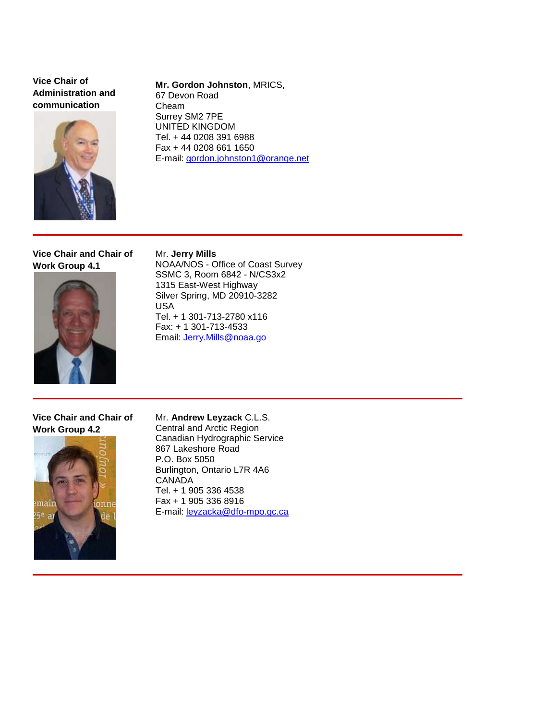**Vice Chair of Administration and communication**



**Mr. Gordon Johnston**, MRICS, 67 Devon Road Cheam Surrey SM2 7PE UNITED KINGDOM Tel. + 44 0208 391 6988 Fax + 44 0208 661 1650 E-mail: [gordon.johnston1@orange.net](mailto:gordon.johnston1@orange.net)

**Vice Chair and Chair of Work Group 4.1**



Mr. **Jerry Mills** NOAA/NOS - Office of Coast Survey SSMC 3, Room 6842 - N/CS3x2 1315 East-West Highway Silver Spring, MD 20910-3282 USA Tel. + 1 301-713-2780 x116 Fax: + 1 301-713-4533 Email: [Jerry.Mills@noaa.go](mailto:Jerry.Mills@noaa.gov)

**Vice Chair and Chair of Work Group 4.2**



Mr. **Andrew Leyzack** C.L.S. Central and Arctic Region Canadian Hydrographic Service 867 Lakeshore Road P.O. Box 5050 Burlington, Ontario L7R 4A6 CANADA Tel. + 1 905 336 4538 Fax + 1 905 336 8916 E-mail: [leyzacka@dfo-mpo.gc.ca](mailto:leyzacka@dfo-mpo.gc.ca)